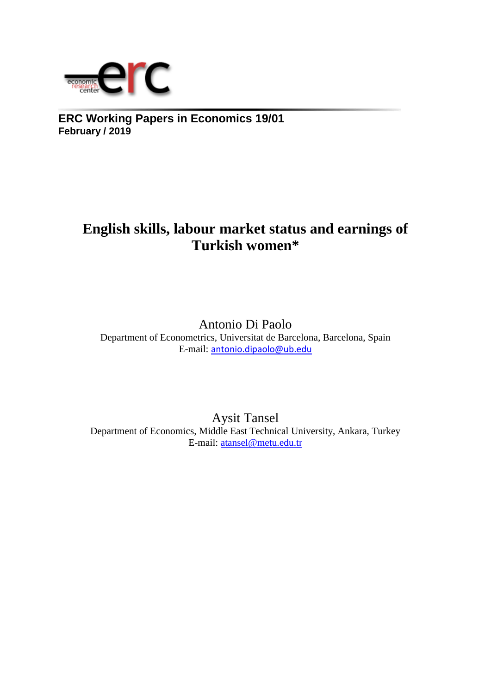

**ERC Working Papers in Economics 19/01 February / 2019**

# **English skills, labour market status and earnings of Turkish women\***

# Antonio Di Paolo Department of Econometrics, Universitat de Barcelona, Barcelona, Spain E-mail: antonio.dipaolo@ub.edu

Aysit Tansel Department of Economics, Middle East Technical University, Ankara, Turkey E-mail: atansel@metu.edu.tr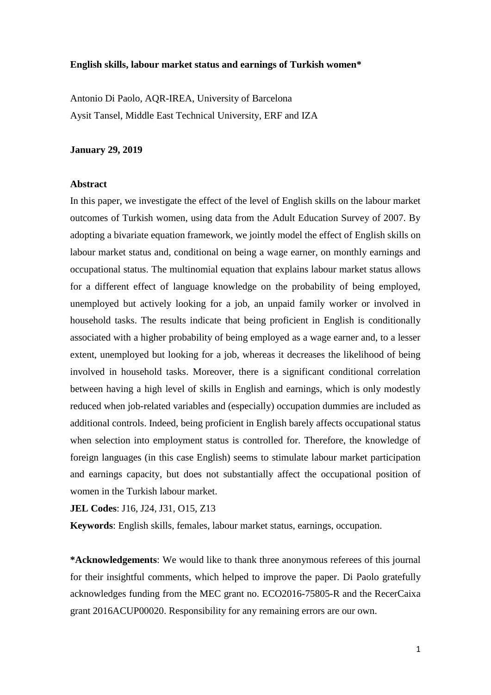#### **English skills, labour market status and earnings of Turkish women\***

Antonio Di Paolo, AQR-IREA, University of Barcelona Aysit Tansel, Middle East Technical University, ERF and IZA

# **January 29, 2019**

# **Abstract**

In this paper, we investigate the effect of the level of English skills on the labour market outcomes of Turkish women, using data from the Adult Education Survey of 2007. By adopting a bivariate equation framework, we jointly model the effect of English skills on labour market status and, conditional on being a wage earner, on monthly earnings and occupational status. The multinomial equation that explains labour market status allows for a different effect of language knowledge on the probability of being employed, unemployed but actively looking for a job, an unpaid family worker or involved in household tasks. The results indicate that being proficient in English is conditionally associated with a higher probability of being employed as a wage earner and, to a lesser extent, unemployed but looking for a job, whereas it decreases the likelihood of being involved in household tasks. Moreover, there is a significant conditional correlation between having a high level of skills in English and earnings, which is only modestly reduced when job-related variables and (especially) occupation dummies are included as additional controls. Indeed, being proficient in English barely affects occupational status when selection into employment status is controlled for. Therefore, the knowledge of foreign languages (in this case English) seems to stimulate labour market participation and earnings capacity, but does not substantially affect the occupational position of women in the Turkish labour market.

**JEL Codes**: J16, J24, J31, O15, Z13

**Keywords**: English skills, females, labour market status, earnings, occupation.

**\*Acknowledgements**: We would like to thank three anonymous referees of this journal for their insightful comments, which helped to improve the paper. Di Paolo gratefully acknowledges funding from the MEC grant no. ECO2016-75805-R and the RecerCaixa grant 2016ACUP00020. Responsibility for any remaining errors are our own.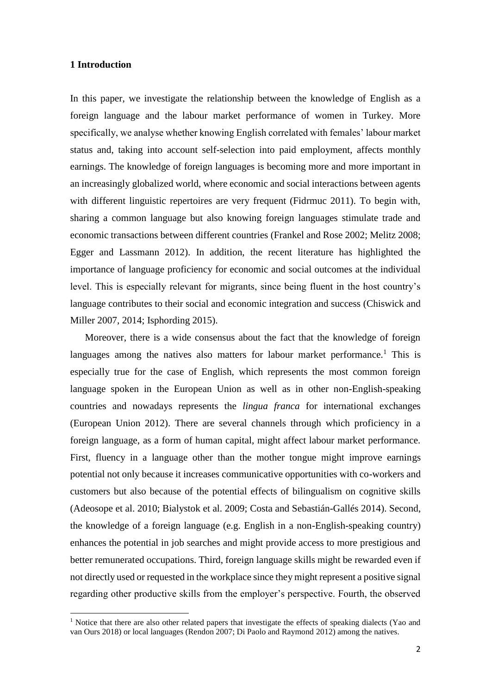### **1 Introduction**

**.** 

In this paper, we investigate the relationship between the knowledge of English as a foreign language and the labour market performance of women in Turkey. More specifically, we analyse whether knowing English correlated with females' labour market status and, taking into account self-selection into paid employment, affects monthly earnings. The knowledge of foreign languages is becoming more and more important in an increasingly globalized world, where economic and social interactions between agents with different linguistic repertoires are very frequent (Fidrmuc 2011). To begin with, sharing a common language but also knowing foreign languages stimulate trade and economic transactions between different countries (Frankel and Rose 2002; Melitz 2008; Egger and Lassmann 2012). In addition, the recent literature has highlighted the importance of language proficiency for economic and social outcomes at the individual level. This is especially relevant for migrants, since being fluent in the host country's language contributes to their social and economic integration and success (Chiswick and Miller 2007, 2014; Isphording 2015).

Moreover, there is a wide consensus about the fact that the knowledge of foreign languages among the natives also matters for labour market performance.<sup>1</sup> This is especially true for the case of English, which represents the most common foreign language spoken in the European Union as well as in other non-English-speaking countries and nowadays represents the *lingua franca* for international exchanges (European Union 2012). There are several channels through which proficiency in a foreign language, as a form of human capital, might affect labour market performance. First, fluency in a language other than the mother tongue might improve earnings potential not only because it increases communicative opportunities with co-workers and customers but also because of the potential effects of bilingualism on cognitive skills (Adeosope et al. 2010; Bialystok et al. 2009; Costa and Sebastián-Gallés 2014). Second, the knowledge of a foreign language (e.g. English in a non-English-speaking country) enhances the potential in job searches and might provide access to more prestigious and better remunerated occupations. Third, foreign language skills might be rewarded even if not directly used or requested in the workplace since they might represent a positive signal regarding other productive skills from the employer's perspective. Fourth, the observed

<sup>&</sup>lt;sup>1</sup> Notice that there are also other related papers that investigate the effects of speaking dialects (Yao and van Ours 2018) or local languages (Rendon 2007; Di Paolo and Raymond 2012) among the natives.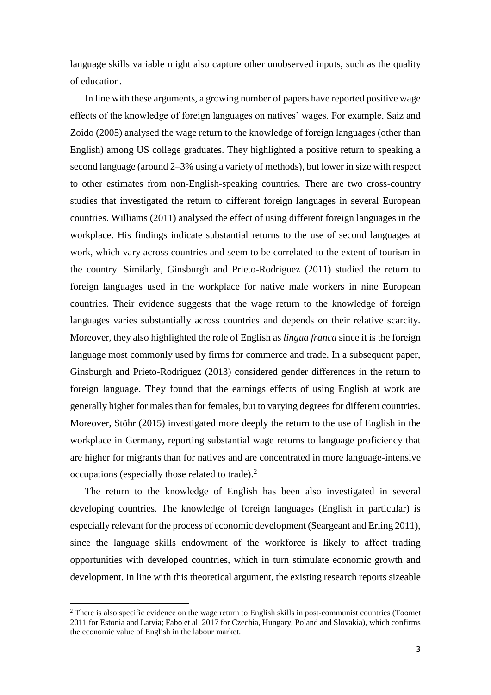language skills variable might also capture other unobserved inputs, such as the quality of education.

In line with these arguments, a growing number of papers have reported positive wage effects of the knowledge of foreign languages on natives' wages. For example, Saiz and Zoido (2005) analysed the wage return to the knowledge of foreign languages (other than English) among US college graduates. They highlighted a positive return to speaking a second language (around 2–3% using a variety of methods), but lower in size with respect to other estimates from non-English-speaking countries. There are two cross-country studies that investigated the return to different foreign languages in several European countries. Williams (2011) analysed the effect of using different foreign languages in the workplace. His findings indicate substantial returns to the use of second languages at work, which vary across countries and seem to be correlated to the extent of tourism in the country. Similarly, Ginsburgh and Prieto-Rodriguez (2011) studied the return to foreign languages used in the workplace for native male workers in nine European countries. Their evidence suggests that the wage return to the knowledge of foreign languages varies substantially across countries and depends on their relative scarcity. Moreover, they also highlighted the role of English as *lingua franca* since it is the foreign language most commonly used by firms for commerce and trade. In a subsequent paper, Ginsburgh and Prieto-Rodriguez (2013) considered gender differences in the return to foreign language. They found that the earnings effects of using English at work are generally higher for males than for females, but to varying degrees for different countries. Moreover, Stöhr (2015) investigated more deeply the return to the use of English in the workplace in Germany, reporting substantial wage returns to language proficiency that are higher for migrants than for natives and are concentrated in more language-intensive occupations (especially those related to trade).<sup>2</sup>

The return to the knowledge of English has been also investigated in several developing countries. The knowledge of foreign languages (English in particular) is especially relevant for the process of economic development (Seargeant and Erling 2011), since the language skills endowment of the workforce is likely to affect trading opportunities with developed countries, which in turn stimulate economic growth and development. In line with this theoretical argument, the existing research reports sizeable

1

<sup>&</sup>lt;sup>2</sup> There is also specific evidence on the wage return to English skills in post-communist countries (Toomet 2011 for Estonia and Latvia; Fabo et al. 2017 for Czechia, Hungary, Poland and Slovakia), which confirms the economic value of English in the labour market.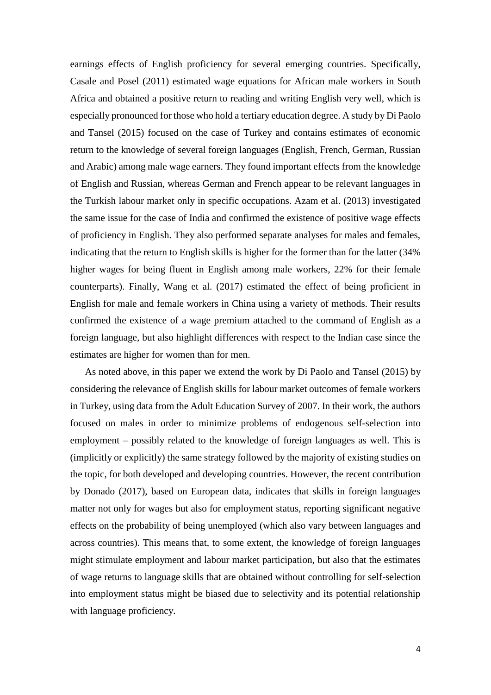earnings effects of English proficiency for several emerging countries. Specifically, Casale and Posel (2011) estimated wage equations for African male workers in South Africa and obtained a positive return to reading and writing English very well, which is especially pronounced for those who hold a tertiary education degree. A study by Di Paolo and Tansel (2015) focused on the case of Turkey and contains estimates of economic return to the knowledge of several foreign languages (English, French, German, Russian and Arabic) among male wage earners. They found important effects from the knowledge of English and Russian, whereas German and French appear to be relevant languages in the Turkish labour market only in specific occupations. Azam et al. (2013) investigated the same issue for the case of India and confirmed the existence of positive wage effects of proficiency in English. They also performed separate analyses for males and females, indicating that the return to English skills is higher for the former than for the latter (34% higher wages for being fluent in English among male workers, 22% for their female counterparts). Finally, Wang et al. (2017) estimated the effect of being proficient in English for male and female workers in China using a variety of methods. Their results confirmed the existence of a wage premium attached to the command of English as a foreign language, but also highlight differences with respect to the Indian case since the estimates are higher for women than for men.

As noted above, in this paper we extend the work by Di Paolo and Tansel (2015) by considering the relevance of English skills for labour market outcomes of female workers in Turkey, using data from the Adult Education Survey of 2007. In their work, the authors focused on males in order to minimize problems of endogenous self-selection into employment – possibly related to the knowledge of foreign languages as well. This is (implicitly or explicitly) the same strategy followed by the majority of existing studies on the topic, for both developed and developing countries. However, the recent contribution by Donado (2017), based on European data, indicates that skills in foreign languages matter not only for wages but also for employment status, reporting significant negative effects on the probability of being unemployed (which also vary between languages and across countries). This means that, to some extent, the knowledge of foreign languages might stimulate employment and labour market participation, but also that the estimates of wage returns to language skills that are obtained without controlling for self-selection into employment status might be biased due to selectivity and its potential relationship with language proficiency.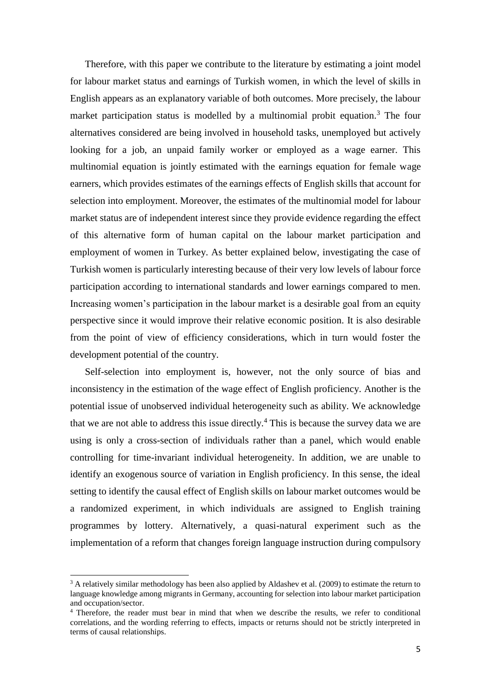Therefore, with this paper we contribute to the literature by estimating a joint model for labour market status and earnings of Turkish women, in which the level of skills in English appears as an explanatory variable of both outcomes. More precisely, the labour market participation status is modelled by a multinomial probit equation.<sup>3</sup> The four alternatives considered are being involved in household tasks, unemployed but actively looking for a job, an unpaid family worker or employed as a wage earner. This multinomial equation is jointly estimated with the earnings equation for female wage earners, which provides estimates of the earnings effects of English skills that account for selection into employment. Moreover, the estimates of the multinomial model for labour market status are of independent interest since they provide evidence regarding the effect of this alternative form of human capital on the labour market participation and employment of women in Turkey. As better explained below, investigating the case of Turkish women is particularly interesting because of their very low levels of labour force participation according to international standards and lower earnings compared to men. Increasing women's participation in the labour market is a desirable goal from an equity perspective since it would improve their relative economic position. It is also desirable from the point of view of efficiency considerations, which in turn would foster the development potential of the country.

Self-selection into employment is, however, not the only source of bias and inconsistency in the estimation of the wage effect of English proficiency. Another is the potential issue of unobserved individual heterogeneity such as ability. We acknowledge that we are not able to address this issue directly.<sup>4</sup> This is because the survey data we are using is only a cross-section of individuals rather than a panel, which would enable controlling for time-invariant individual heterogeneity. In addition, we are unable to identify an exogenous source of variation in English proficiency. In this sense, the ideal setting to identify the causal effect of English skills on labour market outcomes would be a randomized experiment, in which individuals are assigned to English training programmes by lottery. Alternatively, a quasi-natural experiment such as the implementation of a reform that changes foreign language instruction during compulsory

 $\overline{a}$ 

<sup>&</sup>lt;sup>3</sup> A relatively similar methodology has been also applied by Aldashev et al. (2009) to estimate the return to language knowledge among migrants in Germany, accounting for selection into labour market participation and occupation/sector.

<sup>&</sup>lt;sup>4</sup> Therefore, the reader must bear in mind that when we describe the results, we refer to conditional correlations, and the wording referring to effects, impacts or returns should not be strictly interpreted in terms of causal relationships.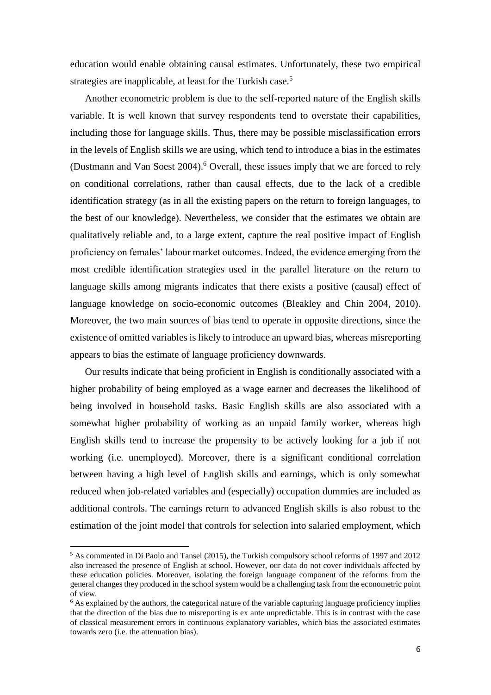education would enable obtaining causal estimates. Unfortunately, these two empirical strategies are inapplicable, at least for the Turkish case.<sup>5</sup>

Another econometric problem is due to the self-reported nature of the English skills variable. It is well known that survey respondents tend to overstate their capabilities, including those for language skills. Thus, there may be possible misclassification errors in the levels of English skills we are using, which tend to introduce a bias in the estimates (Dustmann and Van Soest 2004).<sup>6</sup> Overall, these issues imply that we are forced to rely on conditional correlations, rather than causal effects, due to the lack of a credible identification strategy (as in all the existing papers on the return to foreign languages, to the best of our knowledge). Nevertheless, we consider that the estimates we obtain are qualitatively reliable and, to a large extent, capture the real positive impact of English proficiency on females' labour market outcomes. Indeed, the evidence emerging from the most credible identification strategies used in the parallel literature on the return to language skills among migrants indicates that there exists a positive (causal) effect of language knowledge on socio-economic outcomes (Bleakley and Chin 2004, 2010). Moreover, the two main sources of bias tend to operate in opposite directions, since the existence of omitted variables is likely to introduce an upward bias, whereas misreporting appears to bias the estimate of language proficiency downwards.

Our results indicate that being proficient in English is conditionally associated with a higher probability of being employed as a wage earner and decreases the likelihood of being involved in household tasks. Basic English skills are also associated with a somewhat higher probability of working as an unpaid family worker, whereas high English skills tend to increase the propensity to be actively looking for a job if not working (i.e. unemployed). Moreover, there is a significant conditional correlation between having a high level of English skills and earnings, which is only somewhat reduced when job-related variables and (especially) occupation dummies are included as additional controls. The earnings return to advanced English skills is also robust to the estimation of the joint model that controls for selection into salaried employment, which

1

<sup>5</sup> As commented in Di Paolo and Tansel (2015), the Turkish compulsory school reforms of 1997 and 2012 also increased the presence of English at school. However, our data do not cover individuals affected by these education policies. Moreover, isolating the foreign language component of the reforms from the general changes they produced in the school system would be a challenging task from the econometric point of view.

<sup>&</sup>lt;sup>6</sup> As explained by the authors, the categorical nature of the variable capturing language proficiency implies that the direction of the bias due to misreporting is ex ante unpredictable. This is in contrast with the case of classical measurement errors in continuous explanatory variables, which bias the associated estimates towards zero (i.e. the attenuation bias).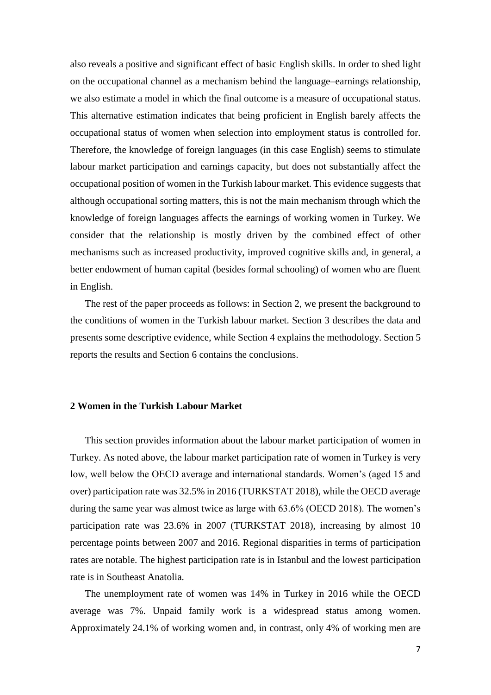also reveals a positive and significant effect of basic English skills. In order to shed light on the occupational channel as a mechanism behind the language–earnings relationship, we also estimate a model in which the final outcome is a measure of occupational status. This alternative estimation indicates that being proficient in English barely affects the occupational status of women when selection into employment status is controlled for. Therefore, the knowledge of foreign languages (in this case English) seems to stimulate labour market participation and earnings capacity, but does not substantially affect the occupational position of women in the Turkish labour market. This evidence suggests that although occupational sorting matters, this is not the main mechanism through which the knowledge of foreign languages affects the earnings of working women in Turkey. We consider that the relationship is mostly driven by the combined effect of other mechanisms such as increased productivity, improved cognitive skills and, in general, a better endowment of human capital (besides formal schooling) of women who are fluent in English.

The rest of the paper proceeds as follows: in Section 2, we present the background to the conditions of women in the Turkish labour market. Section 3 describes the data and presents some descriptive evidence, while Section 4 explains the methodology. Section 5 reports the results and Section 6 contains the conclusions.

# **2 Women in the Turkish Labour Market**

This section provides information about the labour market participation of women in Turkey. As noted above, the labour market participation rate of women in Turkey is very low, well below the OECD average and international standards. Women's (aged 15 and over) participation rate was 32.5% in 2016 (TURKSTAT 2018), while the OECD average during the same year was almost twice as large with 63.6% (OECD 2018). The women's participation rate was 23.6% in 2007 (TURKSTAT 2018), increasing by almost 10 percentage points between 2007 and 2016. Regional disparities in terms of participation rates are notable. The highest participation rate is in Istanbul and the lowest participation rate is in Southeast Anatolia.

The unemployment rate of women was 14% in Turkey in 2016 while the OECD average was 7%. Unpaid family work is a widespread status among women. Approximately 24.1% of working women and, in contrast, only 4% of working men are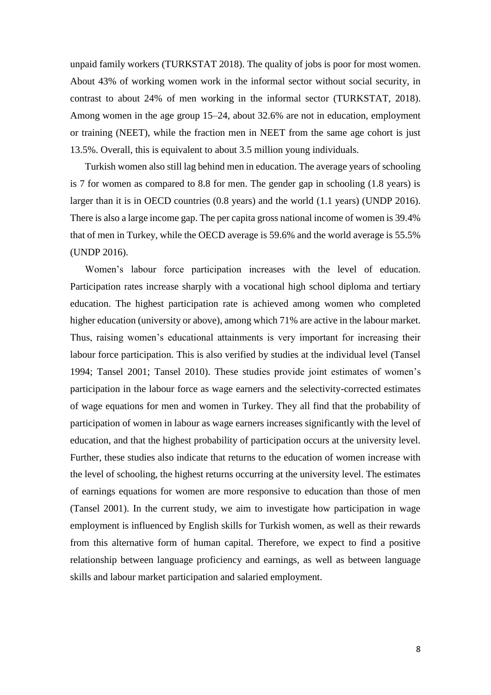unpaid family workers (TURKSTAT 2018). The quality of jobs is poor for most women. About 43% of working women work in the informal sector without social security, in contrast to about 24% of men working in the informal sector (TURKSTAT, 2018). Among women in the age group 15–24, about 32.6% are not in education, employment or training (NEET), while the fraction men in NEET from the same age cohort is just 13.5%. Overall, this is equivalent to about 3.5 million young individuals.

Turkish women also still lag behind men in education. The average years of schooling is 7 for women as compared to 8.8 for men. The gender gap in schooling (1.8 years) is larger than it is in OECD countries (0.8 years) and the world (1.1 years) (UNDP 2016). There is also a large income gap. The per capita gross national income of women is 39.4% that of men in Turkey, while the OECD average is 59.6% and the world average is 55.5% (UNDP 2016).

Women's labour force participation increases with the level of education. Participation rates increase sharply with a vocational high school diploma and tertiary education. The highest participation rate is achieved among women who completed higher education (university or above), among which 71% are active in the labour market. Thus, raising women's educational attainments is very important for increasing their labour force participation. This is also verified by studies at the individual level (Tansel 1994; Tansel 2001; Tansel 2010). These studies provide joint estimates of women's participation in the labour force as wage earners and the selectivity-corrected estimates of wage equations for men and women in Turkey. They all find that the probability of participation of women in labour as wage earners increases significantly with the level of education, and that the highest probability of participation occurs at the university level. Further, these studies also indicate that returns to the education of women increase with the level of schooling, the highest returns occurring at the university level. The estimates of earnings equations for women are more responsive to education than those of men (Tansel 2001). In the current study, we aim to investigate how participation in wage employment is influenced by English skills for Turkish women, as well as their rewards from this alternative form of human capital. Therefore, we expect to find a positive relationship between language proficiency and earnings, as well as between language skills and labour market participation and salaried employment.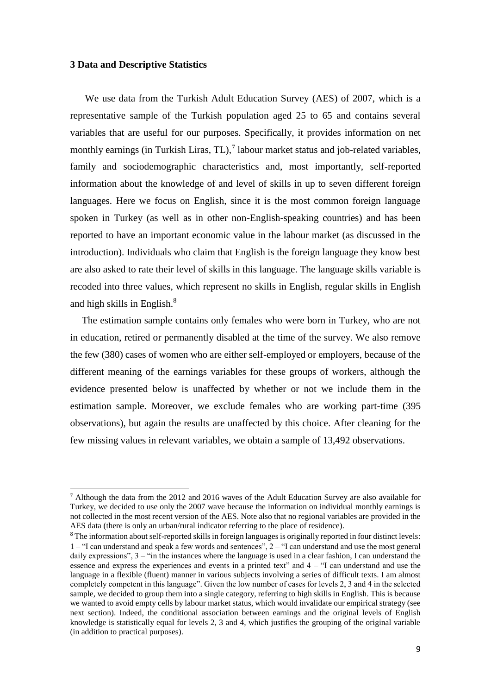#### **3 Data and Descriptive Statistics**

1

We use data from the Turkish Adult Education Survey (AES) of 2007, which is a representative sample of the Turkish population aged 25 to 65 and contains several variables that are useful for our purposes. Specifically, it provides information on net monthly earnings (in Turkish Liras, TL), $^7$  labour market status and job-related variables, family and sociodemographic characteristics and, most importantly, self-reported information about the knowledge of and level of skills in up to seven different foreign languages. Here we focus on English, since it is the most common foreign language spoken in Turkey (as well as in other non-English-speaking countries) and has been reported to have an important economic value in the labour market (as discussed in the introduction). Individuals who claim that English is the foreign language they know best are also asked to rate their level of skills in this language. The language skills variable is recoded into three values, which represent no skills in English, regular skills in English and high skills in English.<sup>8</sup>

The estimation sample contains only females who were born in Turkey, who are not in education, retired or permanently disabled at the time of the survey. We also remove the few (380) cases of women who are either self-employed or employers, because of the different meaning of the earnings variables for these groups of workers, although the evidence presented below is unaffected by whether or not we include them in the estimation sample. Moreover, we exclude females who are working part-time (395 observations), but again the results are unaffected by this choice. After cleaning for the few missing values in relevant variables, we obtain a sample of 13,492 observations.

<sup>7</sup> Although the data from the 2012 and 2016 waves of the Adult Education Survey are also available for Turkey, we decided to use only the 2007 wave because the information on individual monthly earnings is not collected in the most recent version of the AES. Note also that no regional variables are provided in the AES data (there is only an urban/rural indicator referring to the place of residence).

<sup>8</sup> The information about self-reported skills in foreign languages is originally reported in four distinct levels: 1 – "I can understand and speak a few words and sentences", 2 – "I can understand and use the most general daily expressions", 3 – "in the instances where the language is used in a clear fashion, I can understand the essence and express the experiences and events in a printed text" and 4 – "I can understand and use the language in a flexible (fluent) manner in various subjects involving a series of difficult texts. I am almost completely competent in this language". Given the low number of cases for levels 2, 3 and 4 in the selected sample, we decided to group them into a single category, referring to high skills in English. This is because we wanted to avoid empty cells by labour market status, which would invalidate our empirical strategy (see next section). Indeed, the conditional association between earnings and the original levels of English knowledge is statistically equal for levels 2, 3 and 4, which justifies the grouping of the original variable (in addition to practical purposes).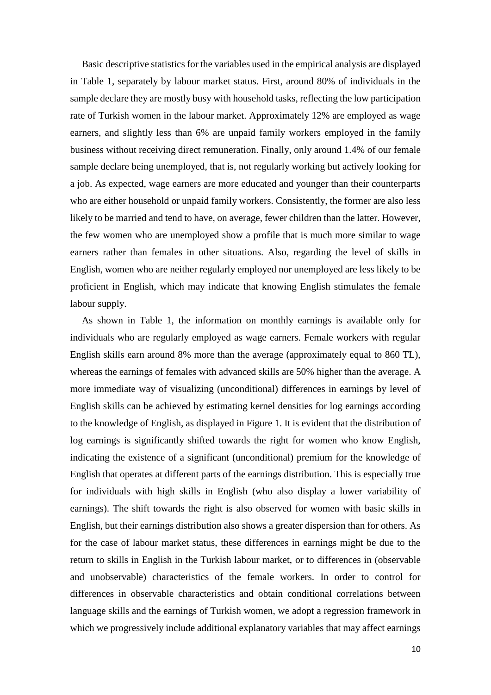Basic descriptive statistics for the variables used in the empirical analysis are displayed in Table 1, separately by labour market status. First, around 80% of individuals in the sample declare they are mostly busy with household tasks, reflecting the low participation rate of Turkish women in the labour market. Approximately 12% are employed as wage earners, and slightly less than 6% are unpaid family workers employed in the family business without receiving direct remuneration. Finally, only around 1.4% of our female sample declare being unemployed, that is, not regularly working but actively looking for a job. As expected, wage earners are more educated and younger than their counterparts who are either household or unpaid family workers. Consistently, the former are also less likely to be married and tend to have, on average, fewer children than the latter. However, the few women who are unemployed show a profile that is much more similar to wage earners rather than females in other situations. Also, regarding the level of skills in English, women who are neither regularly employed nor unemployed are less likely to be proficient in English, which may indicate that knowing English stimulates the female labour supply.

As shown in Table 1, the information on monthly earnings is available only for individuals who are regularly employed as wage earners. Female workers with regular English skills earn around 8% more than the average (approximately equal to 860 TL), whereas the earnings of females with advanced skills are 50% higher than the average. A more immediate way of visualizing (unconditional) differences in earnings by level of English skills can be achieved by estimating kernel densities for log earnings according to the knowledge of English, as displayed in Figure 1. It is evident that the distribution of log earnings is significantly shifted towards the right for women who know English, indicating the existence of a significant (unconditional) premium for the knowledge of English that operates at different parts of the earnings distribution. This is especially true for individuals with high skills in English (who also display a lower variability of earnings). The shift towards the right is also observed for women with basic skills in English, but their earnings distribution also shows a greater dispersion than for others. As for the case of labour market status, these differences in earnings might be due to the return to skills in English in the Turkish labour market, or to differences in (observable and unobservable) characteristics of the female workers. In order to control for differences in observable characteristics and obtain conditional correlations between language skills and the earnings of Turkish women, we adopt a regression framework in which we progressively include additional explanatory variables that may affect earnings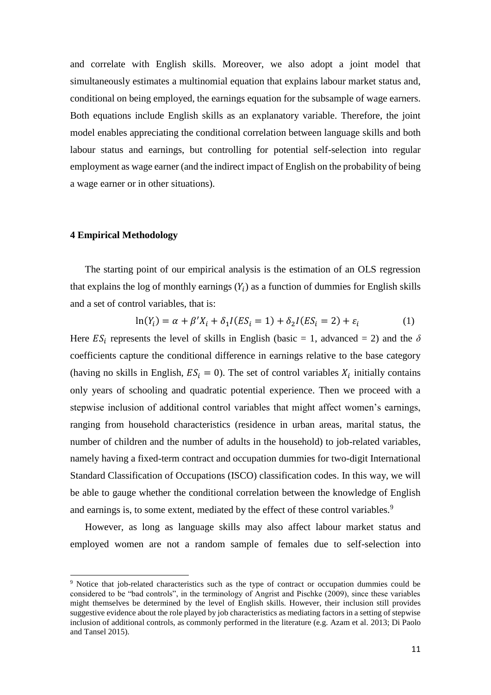and correlate with English skills. Moreover, we also adopt a joint model that simultaneously estimates a multinomial equation that explains labour market status and, conditional on being employed, the earnings equation for the subsample of wage earners. Both equations include English skills as an explanatory variable. Therefore, the joint model enables appreciating the conditional correlation between language skills and both labour status and earnings, but controlling for potential self-selection into regular employment as wage earner (and the indirect impact of English on the probability of being a wage earner or in other situations).

#### **4 Empirical Methodology**

 $\overline{a}$ 

The starting point of our empirical analysis is the estimation of an OLS regression that explains the log of monthly earnings  $(Y_i)$  as a function of dummies for English skills and a set of control variables, that is:

$$
\ln(Y_i) = \alpha + \beta' X_i + \delta_1 I (ES_i = 1) + \delta_2 I (ES_i = 2) + \varepsilon_i \tag{1}
$$

Here  $ES_i$  represents the level of skills in English (basic = 1, advanced = 2) and the  $\delta$ coefficients capture the conditional difference in earnings relative to the base category (having no skills in English,  $ES_i = 0$ ). The set of control variables  $X_i$  initially contains only years of schooling and quadratic potential experience. Then we proceed with a stepwise inclusion of additional control variables that might affect women's earnings, ranging from household characteristics (residence in urban areas, marital status, the number of children and the number of adults in the household) to job-related variables, namely having a fixed-term contract and occupation dummies for two-digit International Standard Classification of Occupations (ISCO) classification codes. In this way, we will be able to gauge whether the conditional correlation between the knowledge of English and earnings is, to some extent, mediated by the effect of these control variables.<sup>9</sup>

However, as long as language skills may also affect labour market status and employed women are not a random sample of females due to self-selection into

<sup>&</sup>lt;sup>9</sup> Notice that job-related characteristics such as the type of contract or occupation dummies could be considered to be "bad controls", in the terminology of Angrist and Pischke (2009), since these variables might themselves be determined by the level of English skills. However, their inclusion still provides suggestive evidence about the role played by job characteristics as mediating factors in a setting of stepwise inclusion of additional controls, as commonly performed in the literature (e.g. Azam et al. 2013; Di Paolo and Tansel 2015).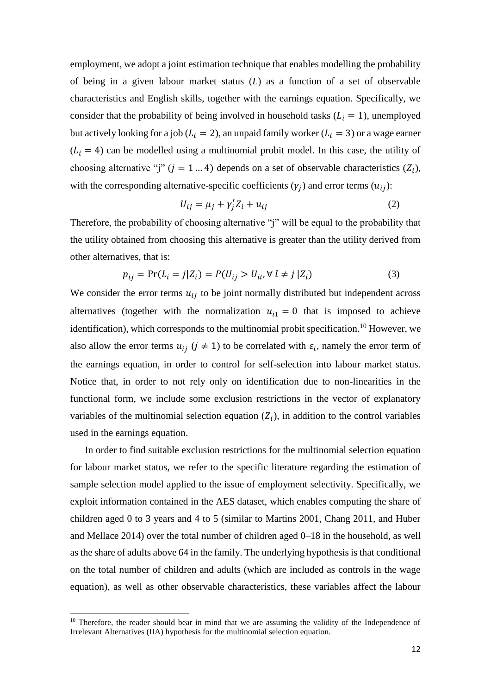employment, we adopt a joint estimation technique that enables modelling the probability of being in a given labour market status (*L*) as a function of a set of observable characteristics and English skills, together with the earnings equation. Specifically, we consider that the probability of being involved in household tasks  $(L<sub>i</sub> = 1)$ , unemployed but actively looking for a job ( $L<sub>i</sub> = 2$ ), an unpaid family worker ( $L<sub>i</sub> = 3$ ) or a wage earner  $(L<sub>i</sub> = 4)$  can be modelled using a multinomial probit model. In this case, the utility of choosing alternative "j"  $(j = 1 ... 4)$  depends on a set of observable characteristics  $(Z_i)$ , with the corresponding alternative-specific coefficients  $(\gamma_j)$  and error terms  $(u_{ij})$ :

$$
U_{ij} = \mu_j + \gamma'_j Z_i + u_{ij}
$$
 (2)

Therefore, the probability of choosing alternative "j" will be equal to the probability that the utility obtained from choosing this alternative is greater than the utility derived from other alternatives, that is:

$$
p_{ij} = \Pr(L_i = j | Z_i) = P(U_{ij} > U_{il}, \forall l \neq j | Z_i)
$$
\n(3)

We consider the error terms  $u_{ij}$  to be joint normally distributed but independent across alternatives (together with the normalization  $u_{i1} = 0$  that is imposed to achieve identification), which corresponds to the multinomial probit specification.<sup>10</sup> However, we also allow the error terms  $u_{ij}$  ( $j \neq 1$ ) to be correlated with  $\varepsilon_i$ , namely the error term of the earnings equation, in order to control for self-selection into labour market status. Notice that, in order to not rely only on identification due to non-linearities in the functional form, we include some exclusion restrictions in the vector of explanatory variables of the multinomial selection equation  $(Z_i)$ , in addition to the control variables used in the earnings equation.

In order to find suitable exclusion restrictions for the multinomial selection equation for labour market status, we refer to the specific literature regarding the estimation of sample selection model applied to the issue of employment selectivity. Specifically, we exploit information contained in the AES dataset, which enables computing the share of children aged 0 to 3 years and 4 to 5 (similar to Martins 2001, Chang 2011, and Huber and Mellace 2014) over the total number of children aged 0–18 in the household, as well as the share of adults above 64 in the family. The underlying hypothesis is that conditional on the total number of children and adults (which are included as controls in the wage equation), as well as other observable characteristics, these variables affect the labour

**.** 

<sup>&</sup>lt;sup>10</sup> Therefore, the reader should bear in mind that we are assuming the validity of the Independence of Irrelevant Alternatives (IIA) hypothesis for the multinomial selection equation.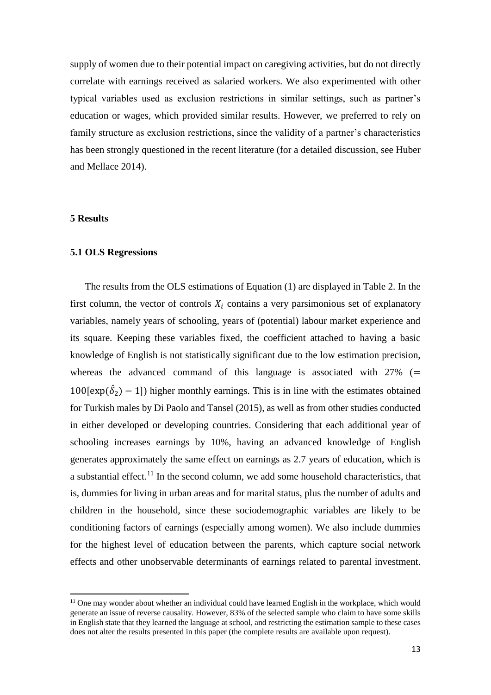supply of women due to their potential impact on caregiving activities, but do not directly correlate with earnings received as salaried workers. We also experimented with other typical variables used as exclusion restrictions in similar settings, such as partner's education or wages, which provided similar results. However, we preferred to rely on family structure as exclusion restrictions, since the validity of a partner's characteristics has been strongly questioned in the recent literature (for a detailed discussion, see Huber and Mellace 2014).

# **5 Results**

**.** 

#### **5.1 OLS Regressions**

The results from the OLS estimations of Equation (1) are displayed in Table 2. In the first column, the vector of controls  $X_i$  contains a very parsimonious set of explanatory variables, namely years of schooling, years of (potential) labour market experience and its square. Keeping these variables fixed, the coefficient attached to having a basic knowledge of English is not statistically significant due to the low estimation precision, whereas the advanced command of this language is associated with  $27\%$  (= 100[ $\exp(\hat{\delta}_2) - 1$ ]) higher monthly earnings. This is in line with the estimates obtained for Turkish males by Di Paolo and Tansel (2015), as well as from other studies conducted in either developed or developing countries. Considering that each additional year of schooling increases earnings by 10%, having an advanced knowledge of English generates approximately the same effect on earnings as 2.7 years of education, which is a substantial effect.<sup>11</sup> In the second column, we add some household characteristics, that is, dummies for living in urban areas and for marital status, plus the number of adults and children in the household, since these sociodemographic variables are likely to be conditioning factors of earnings (especially among women). We also include dummies for the highest level of education between the parents, which capture social network effects and other unobservable determinants of earnings related to parental investment.

<sup>&</sup>lt;sup>11</sup> One may wonder about whether an individual could have learned English in the workplace, which would generate an issue of reverse causality. However, 83% of the selected sample who claim to have some skills in English state that they learned the language at school, and restricting the estimation sample to these cases does not alter the results presented in this paper (the complete results are available upon request).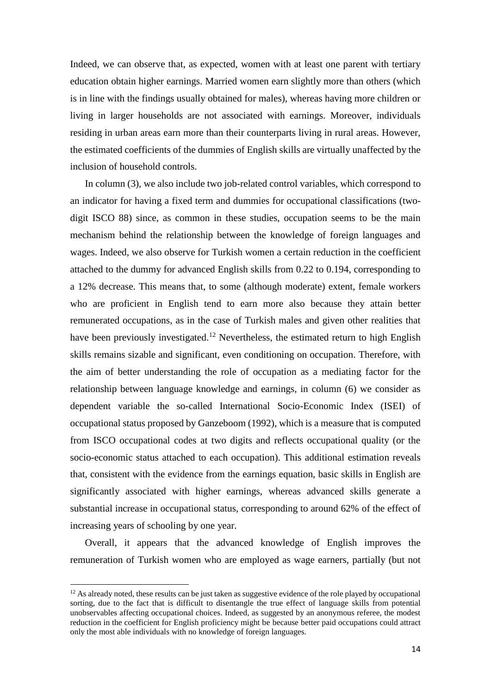Indeed, we can observe that, as expected, women with at least one parent with tertiary education obtain higher earnings. Married women earn slightly more than others (which is in line with the findings usually obtained for males), whereas having more children or living in larger households are not associated with earnings. Moreover, individuals residing in urban areas earn more than their counterparts living in rural areas. However, the estimated coefficients of the dummies of English skills are virtually unaffected by the inclusion of household controls.

In column (3), we also include two job-related control variables, which correspond to an indicator for having a fixed term and dummies for occupational classifications (twodigit ISCO 88) since, as common in these studies, occupation seems to be the main mechanism behind the relationship between the knowledge of foreign languages and wages. Indeed, we also observe for Turkish women a certain reduction in the coefficient attached to the dummy for advanced English skills from 0.22 to 0.194, corresponding to a 12% decrease. This means that, to some (although moderate) extent, female workers who are proficient in English tend to earn more also because they attain better remunerated occupations, as in the case of Turkish males and given other realities that have been previously investigated.<sup>12</sup> Nevertheless, the estimated return to high English skills remains sizable and significant, even conditioning on occupation. Therefore, with the aim of better understanding the role of occupation as a mediating factor for the relationship between language knowledge and earnings, in column (6) we consider as dependent variable the so-called International Socio-Economic Index (ISEI) of occupational status proposed by Ganzeboom (1992), which is a measure that is computed from ISCO occupational codes at two digits and reflects occupational quality (or the socio-economic status attached to each occupation). This additional estimation reveals that, consistent with the evidence from the earnings equation, basic skills in English are significantly associated with higher earnings, whereas advanced skills generate a substantial increase in occupational status, corresponding to around 62% of the effect of increasing years of schooling by one year.

Overall, it appears that the advanced knowledge of English improves the remuneration of Turkish women who are employed as wage earners, partially (but not

**.** 

<sup>&</sup>lt;sup>12</sup> As already noted, these results can be just taken as suggestive evidence of the role played by occupational sorting, due to the fact that is difficult to disentangle the true effect of language skills from potential unobservables affecting occupational choices. Indeed, as suggested by an anonymous referee, the modest reduction in the coefficient for English proficiency might be because better paid occupations could attract only the most able individuals with no knowledge of foreign languages.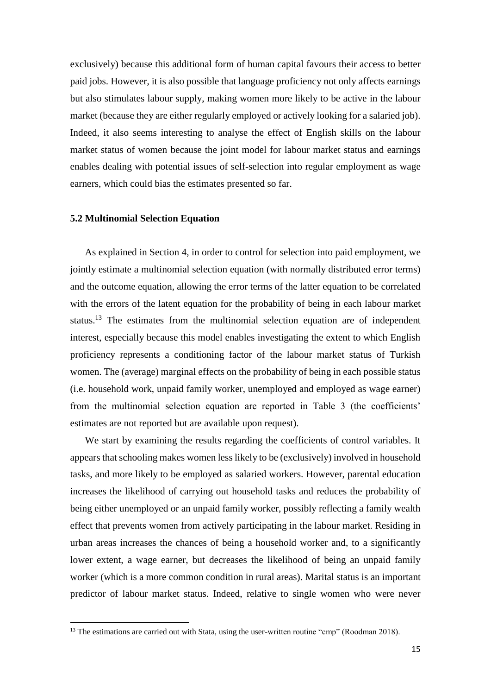exclusively) because this additional form of human capital favours their access to better paid jobs. However, it is also possible that language proficiency not only affects earnings but also stimulates labour supply, making women more likely to be active in the labour market (because they are either regularly employed or actively looking for a salaried job). Indeed, it also seems interesting to analyse the effect of English skills on the labour market status of women because the joint model for labour market status and earnings enables dealing with potential issues of self-selection into regular employment as wage earners, which could bias the estimates presented so far.

#### **5.2 Multinomial Selection Equation**

**.** 

As explained in Section 4, in order to control for selection into paid employment, we jointly estimate a multinomial selection equation (with normally distributed error terms) and the outcome equation, allowing the error terms of the latter equation to be correlated with the errors of the latent equation for the probability of being in each labour market status.<sup>13</sup> The estimates from the multinomial selection equation are of independent interest, especially because this model enables investigating the extent to which English proficiency represents a conditioning factor of the labour market status of Turkish women. The (average) marginal effects on the probability of being in each possible status (i.e. household work, unpaid family worker, unemployed and employed as wage earner) from the multinomial selection equation are reported in Table 3 (the coefficients' estimates are not reported but are available upon request).

We start by examining the results regarding the coefficients of control variables. It appears that schooling makes women less likely to be (exclusively) involved in household tasks, and more likely to be employed as salaried workers. However, parental education increases the likelihood of carrying out household tasks and reduces the probability of being either unemployed or an unpaid family worker, possibly reflecting a family wealth effect that prevents women from actively participating in the labour market. Residing in urban areas increases the chances of being a household worker and, to a significantly lower extent, a wage earner, but decreases the likelihood of being an unpaid family worker (which is a more common condition in rural areas). Marital status is an important predictor of labour market status. Indeed, relative to single women who were never

 $13$  The estimations are carried out with Stata, using the user-written routine "cmp" (Roodman 2018).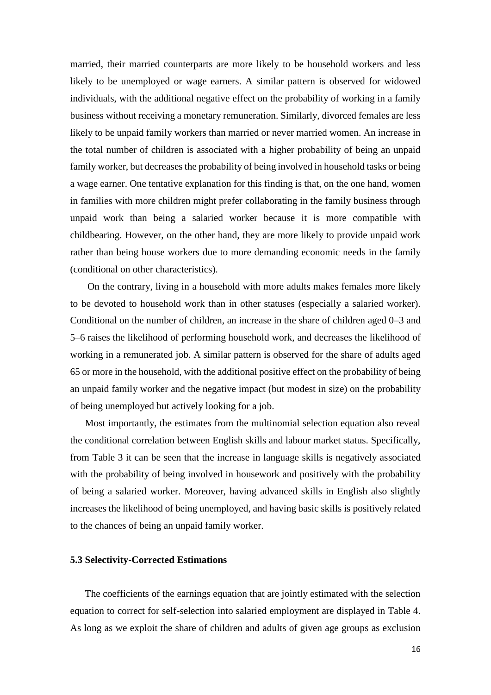married, their married counterparts are more likely to be household workers and less likely to be unemployed or wage earners. A similar pattern is observed for widowed individuals, with the additional negative effect on the probability of working in a family business without receiving a monetary remuneration. Similarly, divorced females are less likely to be unpaid family workers than married or never married women. An increase in the total number of children is associated with a higher probability of being an unpaid family worker, but decreases the probability of being involved in household tasks or being a wage earner. One tentative explanation for this finding is that, on the one hand, women in families with more children might prefer collaborating in the family business through unpaid work than being a salaried worker because it is more compatible with childbearing. However, on the other hand, they are more likely to provide unpaid work rather than being house workers due to more demanding economic needs in the family (conditional on other characteristics).

On the contrary, living in a household with more adults makes females more likely to be devoted to household work than in other statuses (especially a salaried worker). Conditional on the number of children, an increase in the share of children aged 0–3 and 5–6 raises the likelihood of performing household work, and decreases the likelihood of working in a remunerated job. A similar pattern is observed for the share of adults aged 65 or more in the household, with the additional positive effect on the probability of being an unpaid family worker and the negative impact (but modest in size) on the probability of being unemployed but actively looking for a job.

Most importantly, the estimates from the multinomial selection equation also reveal the conditional correlation between English skills and labour market status. Specifically, from Table 3 it can be seen that the increase in language skills is negatively associated with the probability of being involved in housework and positively with the probability of being a salaried worker. Moreover, having advanced skills in English also slightly increases the likelihood of being unemployed, and having basic skills is positively related to the chances of being an unpaid family worker.

#### **5.3 Selectivity-Corrected Estimations**

The coefficients of the earnings equation that are jointly estimated with the selection equation to correct for self-selection into salaried employment are displayed in Table 4. As long as we exploit the share of children and adults of given age groups as exclusion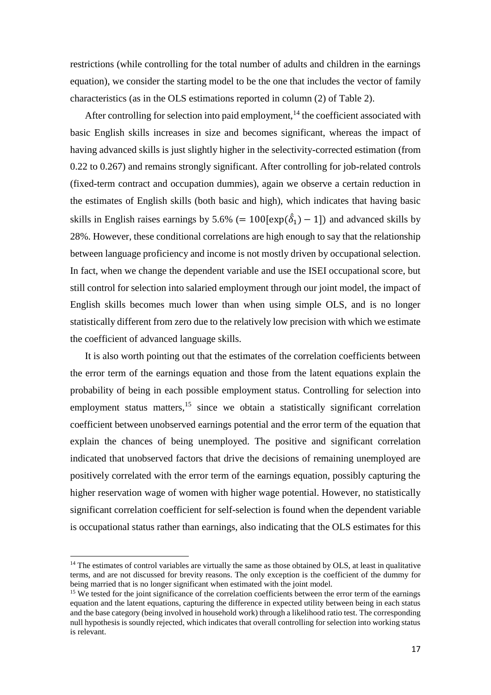restrictions (while controlling for the total number of adults and children in the earnings equation), we consider the starting model to be the one that includes the vector of family characteristics (as in the OLS estimations reported in column (2) of Table 2).

After controlling for selection into paid employment.<sup>14</sup> the coefficient associated with basic English skills increases in size and becomes significant, whereas the impact of having advanced skills is just slightly higher in the selectivity-corrected estimation (from 0.22 to 0.267) and remains strongly significant. After controlling for job-related controls (fixed-term contract and occupation dummies), again we observe a certain reduction in the estimates of English skills (both basic and high), which indicates that having basic skills in English raises earnings by 5.6% (=  $100[\exp(\hat{\delta}_1) - 1]$ ) and advanced skills by 28%. However, these conditional correlations are high enough to say that the relationship between language proficiency and income is not mostly driven by occupational selection. In fact, when we change the dependent variable and use the ISEI occupational score, but still control for selection into salaried employment through our joint model, the impact of English skills becomes much lower than when using simple OLS, and is no longer statistically different from zero due to the relatively low precision with which we estimate the coefficient of advanced language skills.

It is also worth pointing out that the estimates of the correlation coefficients between the error term of the earnings equation and those from the latent equations explain the probability of being in each possible employment status. Controlling for selection into employment status matters,  $15$  since we obtain a statistically significant correlation coefficient between unobserved earnings potential and the error term of the equation that explain the chances of being unemployed. The positive and significant correlation indicated that unobserved factors that drive the decisions of remaining unemployed are positively correlated with the error term of the earnings equation, possibly capturing the higher reservation wage of women with higher wage potential. However, no statistically significant correlation coefficient for self-selection is found when the dependent variable is occupational status rather than earnings, also indicating that the OLS estimates for this

**.** 

<sup>&</sup>lt;sup>14</sup> The estimates of control variables are virtually the same as those obtained by OLS, at least in qualitative terms, and are not discussed for brevity reasons. The only exception is the coefficient of the dummy for being married that is no longer significant when estimated with the joint model.

<sup>&</sup>lt;sup>15</sup> We tested for the joint significance of the correlation coefficients between the error term of the earnings equation and the latent equations, capturing the difference in expected utility between being in each status and the base category (being involved in household work) through a likelihood ratio test. The corresponding null hypothesis is soundly rejected, which indicates that overall controlling for selection into working status is relevant.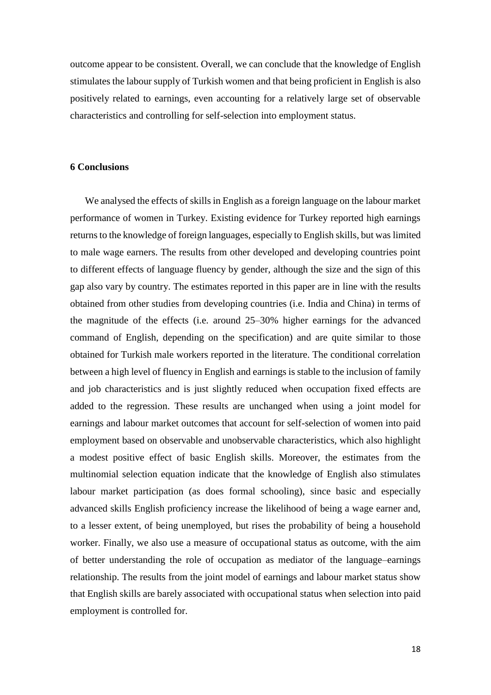outcome appear to be consistent. Overall, we can conclude that the knowledge of English stimulates the labour supply of Turkish women and that being proficient in English is also positively related to earnings, even accounting for a relatively large set of observable characteristics and controlling for self-selection into employment status.

#### **6 Conclusions**

We analysed the effects of skills in English as a foreign language on the labour market performance of women in Turkey. Existing evidence for Turkey reported high earnings returns to the knowledge of foreign languages, especially to English skills, but was limited to male wage earners. The results from other developed and developing countries point to different effects of language fluency by gender, although the size and the sign of this gap also vary by country. The estimates reported in this paper are in line with the results obtained from other studies from developing countries (i.e. India and China) in terms of the magnitude of the effects (i.e. around 25–30% higher earnings for the advanced command of English, depending on the specification) and are quite similar to those obtained for Turkish male workers reported in the literature. The conditional correlation between a high level of fluency in English and earnings is stable to the inclusion of family and job characteristics and is just slightly reduced when occupation fixed effects are added to the regression. These results are unchanged when using a joint model for earnings and labour market outcomes that account for self-selection of women into paid employment based on observable and unobservable characteristics, which also highlight a modest positive effect of basic English skills. Moreover, the estimates from the multinomial selection equation indicate that the knowledge of English also stimulates labour market participation (as does formal schooling), since basic and especially advanced skills English proficiency increase the likelihood of being a wage earner and, to a lesser extent, of being unemployed, but rises the probability of being a household worker. Finally, we also use a measure of occupational status as outcome, with the aim of better understanding the role of occupation as mediator of the language–earnings relationship. The results from the joint model of earnings and labour market status show that English skills are barely associated with occupational status when selection into paid employment is controlled for.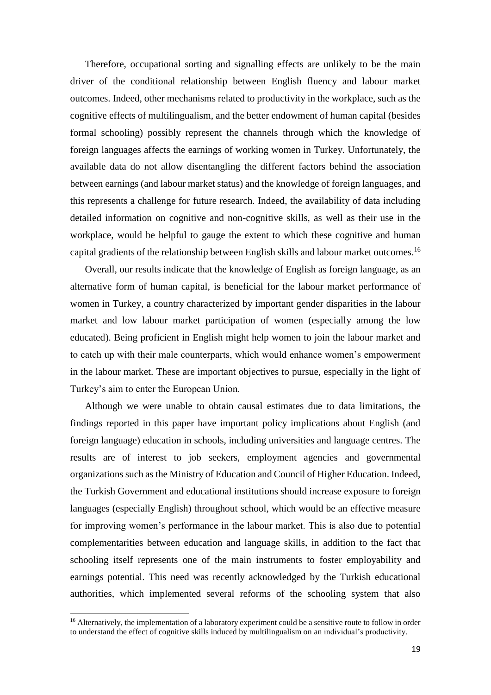Therefore, occupational sorting and signalling effects are unlikely to be the main driver of the conditional relationship between English fluency and labour market outcomes. Indeed, other mechanisms related to productivity in the workplace, such as the cognitive effects of multilingualism, and the better endowment of human capital (besides formal schooling) possibly represent the channels through which the knowledge of foreign languages affects the earnings of working women in Turkey. Unfortunately, the available data do not allow disentangling the different factors behind the association between earnings (and labour market status) and the knowledge of foreign languages, and this represents a challenge for future research. Indeed, the availability of data including detailed information on cognitive and non-cognitive skills, as well as their use in the workplace, would be helpful to gauge the extent to which these cognitive and human capital gradients of the relationship between English skills and labour market outcomes.<sup>16</sup>

Overall, our results indicate that the knowledge of English as foreign language, as an alternative form of human capital, is beneficial for the labour market performance of women in Turkey, a country characterized by important gender disparities in the labour market and low labour market participation of women (especially among the low educated). Being proficient in English might help women to join the labour market and to catch up with their male counterparts, which would enhance women's empowerment in the labour market. These are important objectives to pursue, especially in the light of Turkey's aim to enter the European Union.

Although we were unable to obtain causal estimates due to data limitations, the findings reported in this paper have important policy implications about English (and foreign language) education in schools, including universities and language centres. The results are of interest to job seekers, employment agencies and governmental organizations such as the Ministry of Education and Council of Higher Education. Indeed, the Turkish Government and educational institutions should increase exposure to foreign languages (especially English) throughout school, which would be an effective measure for improving women's performance in the labour market. This is also due to potential complementarities between education and language skills, in addition to the fact that schooling itself represents one of the main instruments to foster employability and earnings potential. This need was recently acknowledged by the Turkish educational authorities, which implemented several reforms of the schooling system that also

**.** 

<sup>&</sup>lt;sup>16</sup> Alternatively, the implementation of a laboratory experiment could be a sensitive route to follow in order to understand the effect of cognitive skills induced by multilingualism on an individual's productivity.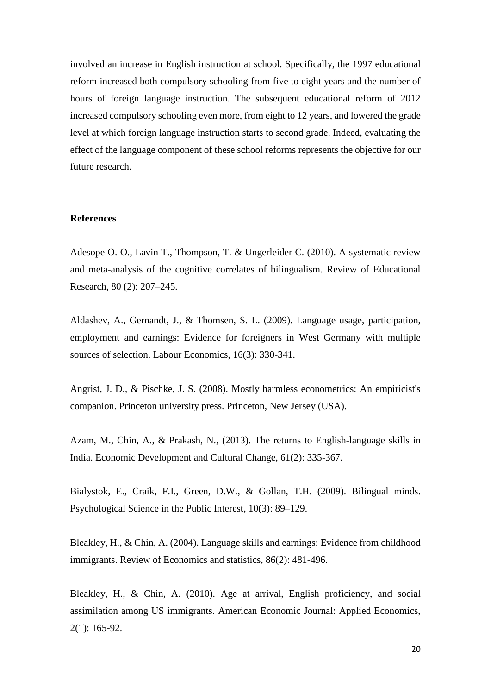involved an increase in English instruction at school. Specifically, the 1997 educational reform increased both compulsory schooling from five to eight years and the number of hours of foreign language instruction. The subsequent educational reform of 2012 increased compulsory schooling even more, from eight to 12 years, and lowered the grade level at which foreign language instruction starts to second grade. Indeed, evaluating the effect of the language component of these school reforms represents the objective for our future research.

#### **References**

Adesope O. O., Lavin T., Thompson, T. & Ungerleider C. (2010). A systematic review and meta-analysis of the cognitive correlates of bilingualism. Review of Educational Research, 80 (2): 207–245.

Aldashev, A., Gernandt, J., & Thomsen, S. L. (2009). Language usage, participation, employment and earnings: Evidence for foreigners in West Germany with multiple sources of selection. Labour Economics, 16(3): 330-341.

Angrist, J. D., & Pischke, J. S. (2008). Mostly harmless econometrics: An empiricist's companion. Princeton university press. Princeton, New Jersey (USA).

Azam, M., Chin, A., & Prakash, N., (2013). The returns to English-language skills in India. Economic Development and Cultural Change, 61(2): 335-367.

Bialystok, E., Craik, F.I., Green, D.W., & Gollan, T.H. (2009). Bilingual minds. Psychological Science in the Public Interest, 10(3): 89–129.

Bleakley, H., & Chin, A. (2004). Language skills and earnings: Evidence from childhood immigrants. Review of Economics and statistics, 86(2): 481-496.

Bleakley, H., & Chin, A. (2010). Age at arrival, English proficiency, and social assimilation among US immigrants. American Economic Journal: Applied Economics, 2(1): 165-92.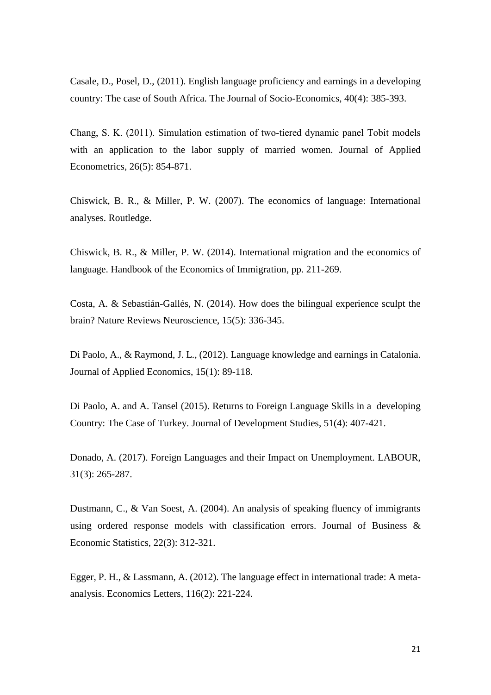Casale, D., Posel, D., (2011). English language proficiency and earnings in a developing country: The case of South Africa. The Journal of Socio-Economics, 40(4): 385-393.

Chang, S. K. (2011). Simulation estimation of two‐tiered dynamic panel Tobit models with an application to the labor supply of married women. Journal of Applied Econometrics, 26(5): 854-871.

Chiswick, B. R., & Miller, P. W. (2007). The economics of language: International analyses. Routledge.

Chiswick, B. R., & Miller, P. W. (2014). International migration and the economics of language. Handbook of the Economics of Immigration, pp. 211-269.

Costa, A. & Sebastián-Gallés, N. (2014). How does the bilingual experience sculpt the brain? Nature Reviews Neuroscience, 15(5): 336-345.

Di Paolo, A., & Raymond, J. L., (2012). Language knowledge and earnings in Catalonia. Journal of Applied Economics, 15(1): 89-118.

Di Paolo, A. and A. Tansel (2015). Returns to Foreign Language Skills in a developing Country: The Case of Turkey. Journal of Development Studies, 51(4): 407-421.

Donado, A. (2017). Foreign Languages and their Impact on Unemployment. LABOUR, 31(3): 265-287.

Dustmann, C., & Van Soest, A. (2004). An analysis of speaking fluency of immigrants using ordered response models with classification errors. Journal of Business & Economic Statistics, 22(3): 312-321.

Egger, P. H., & Lassmann, A. (2012). The language effect in international trade: A metaanalysis. Economics Letters, 116(2): 221-224.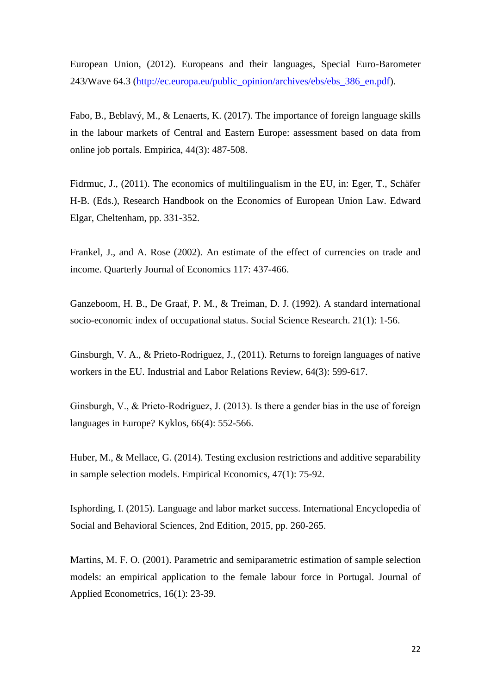European Union, (2012). Europeans and their languages, Special Euro-Barometer 243/Wave 64.3 [\(http://ec.europa.eu/public\\_opinion/archives/ebs/ebs\\_386\\_en.pdf\)](http://ec.europa.eu/public_opinion/archives/ebs/ebs_386_en.pdf).

Fabo, B., Beblavý, M., & Lenaerts, K. (2017). The importance of foreign language skills in the labour markets of Central and Eastern Europe: assessment based on data from online job portals. Empirica, 44(3): 487-508.

Fidrmuc, J., (2011). The economics of multilingualism in the EU, in: Eger, T., Schäfer H-B. (Eds.), Research Handbook on the Economics of European Union Law. Edward Elgar, Cheltenham, pp. 331-352.

Frankel, J., and A. Rose (2002). An estimate of the effect of currencies on trade and income. Quarterly Journal of Economics 117: 437-466.

Ganzeboom, H. B., De Graaf, P. M., & Treiman, D. J. (1992). A standard international socio-economic index of occupational status. Social Science Research. 21(1): 1-56.

Ginsburgh, V. A., & Prieto-Rodriguez, J., (2011). Returns to foreign languages of native workers in the EU. Industrial and Labor Relations Review, 64(3): 599-617.

Ginsburgh, V., & Prieto‐Rodriguez, J. (2013). Is there a gender bias in the use of foreign languages in Europe? Kyklos, 66(4): 552-566.

Huber, M., & Mellace, G. (2014). Testing exclusion restrictions and additive separability in sample selection models. Empirical Economics, 47(1): 75-92.

Isphording, I. (2015). Language and labor market success. International Encyclopedia of Social and Behavioral Sciences, 2nd Edition, 2015, pp. 260-265.

Martins, M. F. O. (2001). Parametric and semiparametric estimation of sample selection models: an empirical application to the female labour force in Portugal. Journal of Applied Econometrics, 16(1): 23-39.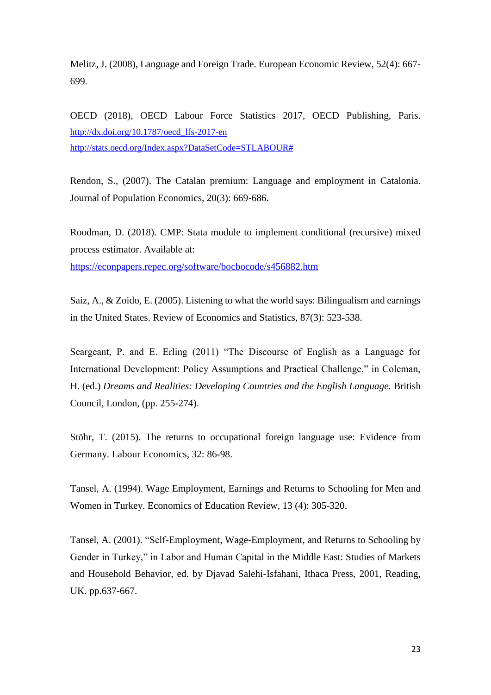Melitz, J. (2008), Language and Foreign Trade. European Economic Review, 52(4): 667- 699.

OECD (2018), OECD Labour Force Statistics 2017, OECD Publishing, Paris. [http://dx.doi.org/10.1787/oecd\\_lfs-2017-en](https://dx.doi.org/10.1787/oecd_lfs-2017-en)  [http://stats.oecd.org/Index.aspx?DataSetCode=STLABOUR#](http://stats.oecd.org/Index.aspx?DataSetCode=STLABOUR)

Rendon, S., (2007). The Catalan premium: Language and employment in Catalonia. Journal of Population Economics, 20(3): 669-686.

Roodman, D. (2018). CMP: Stata module to implement conditional (recursive) mixed process estimator. Available at: <https://econpapers.repec.org/software/bocbocode/s456882.htm>

Saiz, A., & Zoido, E. (2005). Listening to what the world says: Bilingualism and earnings in the United States. Review of Economics and Statistics, 87(3): 523-538.

Seargeant, P. and E. Erling (2011) "The Discourse of English as a Language for International Development: Policy Assumptions and Practical Challenge," in Coleman, H. (ed.) *Dreams and Realities: Developing Countries and the English Language.* British Council, London, (pp. 255-274).

Stöhr, T. (2015). The returns to occupational foreign language use: Evidence from Germany. Labour Economics, 32: 86-98.

Tansel, A. (1994). Wage Employment, Earnings and Returns to Schooling for Men and Women in Turkey. Economics of Education Review, 13 (4): 305-320.

Tansel, A. (2001). "Self-Employment, Wage-Employment, and Returns to Schooling by Gender in Turkey," in Labor and Human Capital in the Middle East: Studies of Markets and Household Behavior, ed. by Djavad Salehi-Isfahani, Ithaca Press, 2001, Reading, UK. pp.637-667.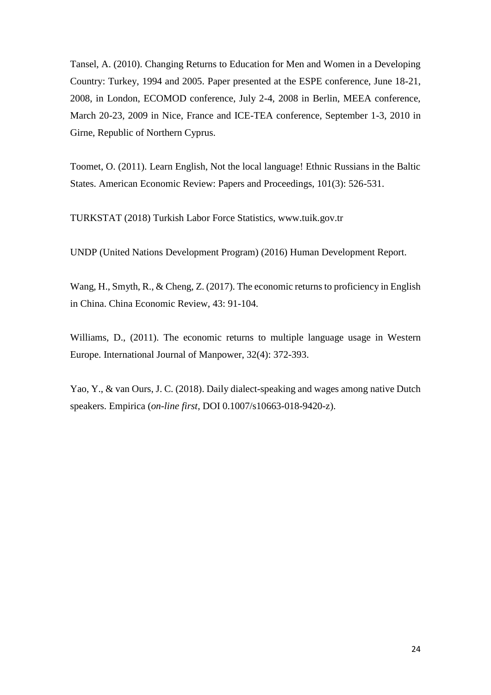Tansel, A. (2010). Changing Returns to Education for Men and Women in a Developing Country: Turkey, 1994 and 2005. Paper presented at the ESPE conference, June 18-21, 2008, in London, ECOMOD conference, July 2-4, 2008 in Berlin, MEEA conference, March 20-23, 2009 in Nice, France and ICE-TEA conference, September 1-3, 2010 in Girne, Republic of Northern Cyprus.

Toomet, O. (2011). Learn English, Not the local language! Ethnic Russians in the Baltic States. American Economic Review: Papers and Proceedings, 101(3): 526-531.

TURKSTAT (2018) Turkish Labor Force Statistics, www.tuik.gov.tr

UNDP (United Nations Development Program) (2016) Human Development Report.

Wang, H., Smyth, R., & Cheng, Z. (2017). The economic returns to proficiency in English in China. China Economic Review, 43: 91-104.

Williams, D., (2011). The economic returns to multiple language usage in Western Europe. International Journal of Manpower, 32(4): 372-393.

Yao, Y., & van Ours, J. C. (2018). Daily dialect-speaking and wages among native Dutch speakers. Empirica (*on-line first*, DOI 0.1007/s10663-018-9420-z).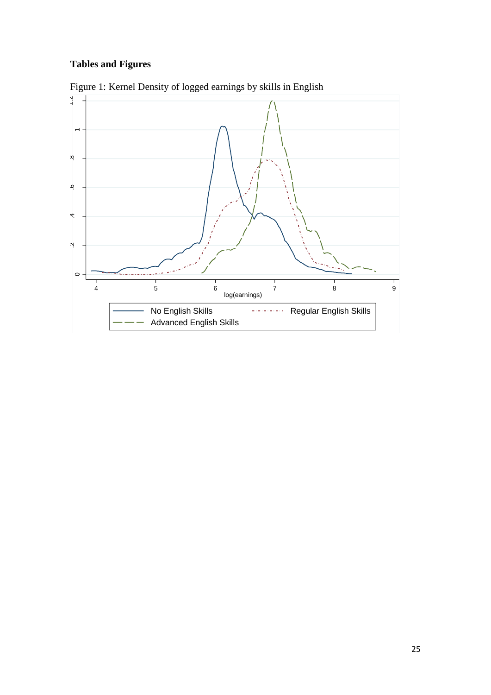# **Tables and Figures**



Figure 1: Kernel Density of logged earnings by skills in English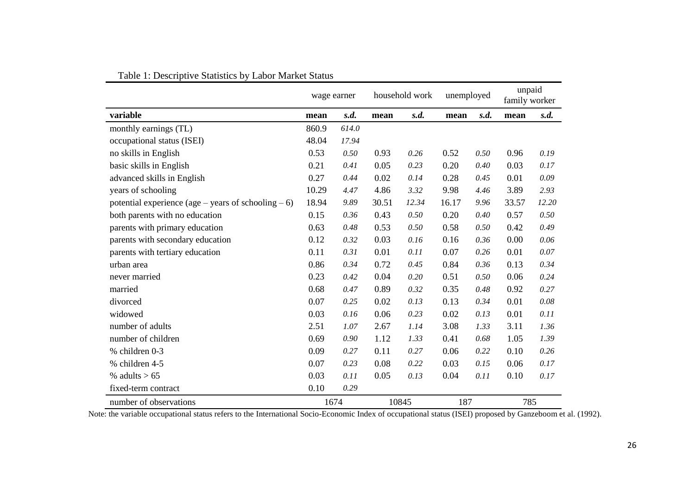|                                                     | wage earner |       | household work |       | unemployed |      | unpaid<br>family worker |       |
|-----------------------------------------------------|-------------|-------|----------------|-------|------------|------|-------------------------|-------|
| variable                                            | mean        | s.d.  | mean           | s.d.  | mean       | s.d. | mean                    | s.d.  |
| monthly earnings (TL)                               | 860.9       | 614.0 |                |       |            |      |                         |       |
| occupational status (ISEI)                          | 48.04       | 17.94 |                |       |            |      |                         |       |
| no skills in English                                | 0.53        | 0.50  | 0.93           | 0.26  | 0.52       | 0.50 | 0.96                    | 0.19  |
| basic skills in English                             | 0.21        | 0.41  | 0.05           | 0.23  | 0.20       | 0.40 | 0.03                    | 0.17  |
| advanced skills in English                          | 0.27        | 0.44  | 0.02           | 0.14  | 0.28       | 0.45 | 0.01                    | 0.09  |
| years of schooling                                  | 10.29       | 4.47  | 4.86           | 3.32  | 9.98       | 4.46 | 3.89                    | 2.93  |
| potential experience (age – years of schooling – 6) | 18.94       | 9.89  | 30.51          | 12.34 | 16.17      | 9.96 | 33.57                   | 12.20 |
| both parents with no education                      | 0.15        | 0.36  | 0.43           | 0.50  | 0.20       | 0.40 | 0.57                    | 0.50  |
| parents with primary education                      | 0.63        | 0.48  | 0.53           | 0.50  | 0.58       | 0.50 | 0.42                    | 0.49  |
| parents with secondary education                    | 0.12        | 0.32  | 0.03           | 0.16  | 0.16       | 0.36 | 0.00                    | 0.06  |
| parents with tertiary education                     | 0.11        | 0.31  | 0.01           | 0.11  | 0.07       | 0.26 | 0.01                    | 0.07  |
| urban area                                          | 0.86        | 0.34  | 0.72           | 0.45  | 0.84       | 0.36 | 0.13                    | 0.34  |
| never married                                       | 0.23        | 0.42  | 0.04           | 0.20  | 0.51       | 0.50 | 0.06                    | 0.24  |
| married                                             | 0.68        | 0.47  | 0.89           | 0.32  | 0.35       | 0.48 | 0.92                    | 0.27  |
| divorced                                            | 0.07        | 0.25  | 0.02           | 0.13  | 0.13       | 0.34 | 0.01                    | 0.08  |
| widowed                                             | 0.03        | 0.16  | 0.06           | 0.23  | 0.02       | 0.13 | 0.01                    | 0.11  |
| number of adults                                    | 2.51        | 1.07  | 2.67           | 1.14  | 3.08       | 1.33 | 3.11                    | 1.36  |
| number of children                                  | 0.69        | 0.90  | 1.12           | 1.33  | 0.41       | 0.68 | 1.05                    | 1.39  |
| % children 0-3                                      | 0.09        | 0.27  | 0.11           | 0.27  | 0.06       | 0.22 | 0.10                    | 0.26  |
| % children 4-5                                      | 0.07        | 0.23  | 0.08           | 0.22  | 0.03       | 0.15 | 0.06                    | 0.17  |
| % adults $> 65$                                     | 0.03        | 0.11  | 0.05           | 0.13  | 0.04       | 0.11 | 0.10                    | 0.17  |
| fixed-term contract                                 | 0.10        | 0.29  |                |       |            |      |                         |       |
| number of observations                              |             | 1674  |                | 10845 | 187        |      | 785                     |       |

Table 1: Descriptive Statistics by Labor Market Status

Note: the variable occupational status refers to the International Socio-Economic Index of occupational status (ISEI) proposed by Ganzeboom et al. (1992).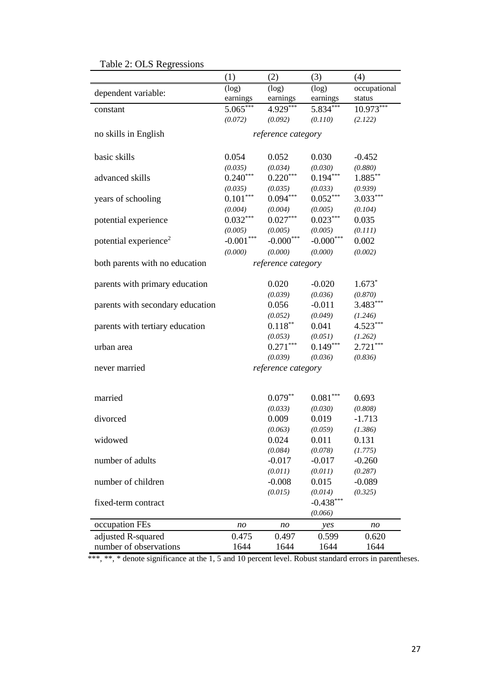| $14010 \, \text{\textdegree}$ . OLD IN $\mu$ USIVOID |                    |                    |                        | (4)                    |  |
|------------------------------------------------------|--------------------|--------------------|------------------------|------------------------|--|
|                                                      | (1)                | (2)                | (3)                    |                        |  |
| dependent variable:                                  | (log)<br>earnings  | (log)<br>earnings  | (log)<br>earnings      | occupational<br>status |  |
|                                                      | $5.065***$         | $4.929***$         | $5.834***$             | $10.973***$            |  |
| constant                                             | (0.072)            | (0.092)            | (0.110)                | (2.122)                |  |
|                                                      |                    |                    |                        |                        |  |
| no skills in English                                 |                    | reference category |                        |                        |  |
|                                                      |                    |                    |                        |                        |  |
| basic skills                                         | 0.054              | 0.052              | 0.030                  | $-0.452$               |  |
|                                                      | (0.035)            | (0.034)            | (0.030)                | (0.880)                |  |
| advanced skills                                      | $0.240***$         | $0.220***$         | $0.194***$             | $1.885***$             |  |
|                                                      | (0.035)            | (0.035)            | (0.033)                | (0.939)                |  |
| years of schooling                                   | $0.101***$         | $0.094***$         | $0.052***$             | $3.033***$             |  |
|                                                      | (0.004)            | (0.004)            | (0.005)                | (0.104)                |  |
| potential experience                                 | $0.032***$         | $0.027***$         | $0.023***$             | 0.035                  |  |
|                                                      | (0.005)            | (0.005)            | (0.005)                | (0.111)                |  |
| potential experience <sup>2</sup>                    | $-0.001***$        | $-0.000***$        | $-0.000***$            | 0.002                  |  |
|                                                      | (0.000)            | (0.000)            | (0.000)                | (0.002)                |  |
| both parents with no education                       |                    | reference category |                        |                        |  |
|                                                      |                    |                    |                        |                        |  |
| parents with primary education                       |                    | 0.020              | $-0.020$               | $1.673*$               |  |
|                                                      |                    | (0.039)            | (0.036)                | (0.870)                |  |
| parents with secondary education                     |                    | 0.056              | $-0.011$               | 3.483***               |  |
|                                                      |                    | (0.052)            | (0.049)                | (1.246)                |  |
| parents with tertiary education                      |                    | $0.118***$         | 0.041                  | $4.523***$             |  |
|                                                      |                    | (0.053)            | (0.051)                | (1.262)                |  |
| urban area                                           |                    | $0.271***$         | $0.149***$             | $2.721***$             |  |
|                                                      |                    | (0.039)            | (0.036)                | (0.836)                |  |
| never married                                        | reference category |                    |                        |                        |  |
|                                                      |                    |                    |                        |                        |  |
| married                                              |                    | $0.079**$          | $0.081***$             | 0.693                  |  |
|                                                      |                    | (0.033)            | (0.030)                | (0.808)                |  |
| divorced                                             |                    | 0.009              | 0.019                  | $-1.713$               |  |
|                                                      |                    | (0.063)            | (0.059)                |                        |  |
| widowed                                              |                    | 0.024              | 0.011                  | (1.386)<br>0.131       |  |
|                                                      |                    | (0.084)            | (0.078)                | (1.775)                |  |
| number of adults                                     |                    | $-0.017$           | $-0.017$               | $-0.260$               |  |
|                                                      |                    | (0.011)            | (0.011)                | (0.287)                |  |
| number of children                                   |                    | $-0.008$           | 0.015                  | $-0.089$               |  |
|                                                      |                    | (0.015)            |                        | (0.325)                |  |
| fixed-term contract                                  |                    |                    | (0.014)<br>$-0.438***$ |                        |  |
|                                                      |                    |                    | (0.066)                |                        |  |
|                                                      |                    |                    |                        |                        |  |
| occupation FEs                                       | no                 | n <sub>O</sub>     | yes                    | no                     |  |
| adjusted R-squared                                   | 0.475              | 0.497              | 0.599                  | 0.620                  |  |
| number of observations                               | 1644               | 1644               | 1644                   | 1644                   |  |

|  |  | Table 2: OLS Regressions |
|--|--|--------------------------|
|  |  |                          |

\*\*\*, \*\*, \* denote significance at the 1, 5 and 10 percent level. Robust standard errors in parentheses.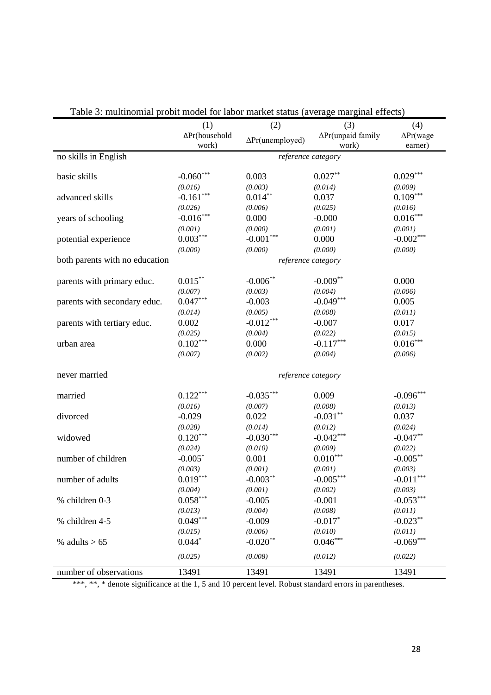|                                | (1)                              | (2)                      | (3)                                 | (4)                          |  |
|--------------------------------|----------------------------------|--------------------------|-------------------------------------|------------------------------|--|
|                                | ∆Pr(household<br>work)           | $\Delta Pr$ (unemployed) | $\Delta Pr$ (unpaid family<br>work) | $\Delta Pr(wage)$<br>earner) |  |
| no skills in English           | reference category               |                          |                                     |                              |  |
| basic skills                   | $-0.060***$                      | 0.003                    | $0.027**$                           | $0.029***$                   |  |
|                                | (0.016)                          | (0.003)                  | (0.014)                             | (0.009)                      |  |
| advanced skills                | $-0.161***$                      | $0.014***$               | 0.037                               | $0.109***$                   |  |
|                                | (0.026)                          | (0.006)                  | (0.025)                             | (0.016)                      |  |
| years of schooling             | $\textbf{-0.016}^{\ast\ast\ast}$ | 0.000                    | $-0.000$                            | $0.016***$                   |  |
|                                | (0.001)                          | (0.000)                  | (0.001)                             | (0.001)                      |  |
| potential experience           | $0.003***$                       | $-0.001***$              | 0.000                               | $-0.002***$                  |  |
|                                | (0.000)                          | (0.000)                  | (0.000)                             | (0.000)                      |  |
| both parents with no education |                                  |                          | reference category                  |                              |  |
| parents with primary educ.     | $0.015***$                       | $-0.006***$              | $-0.009**$                          | 0.000                        |  |
|                                | (0.007)                          | (0.003)                  | (0.004)                             | (0.006)                      |  |
| parents with secondary educ.   | $0.047***$                       | $-0.003$                 | $-0.049***$                         | 0.005                        |  |
|                                | (0.014)                          | (0.005)                  | (0.008)                             | (0.011)                      |  |
| parents with tertiary educ.    | 0.002                            | $-0.012***$              | $-0.007$                            | 0.017                        |  |
|                                | (0.025)                          | (0.004)                  | (0.022)                             | (0.015)                      |  |
| urban area                     | $0.102***$                       | 0.000                    | $-0.117***$                         | $0.016***$                   |  |
|                                | (0.007)                          | (0.002)                  | (0.004)                             | (0.006)                      |  |
| never married                  | reference category               |                          |                                     |                              |  |
| married                        | $0.122***$                       | $-0.035***$              | 0.009                               | $-0.096***$                  |  |
|                                | (0.016)                          | (0.007)                  | (0.008)                             | (0.013)                      |  |
| divorced                       | $-0.029$                         | 0.022                    | $-0.031**$                          | 0.037                        |  |
|                                | (0.028)                          | (0.014)                  | (0.012)                             | (0.024)                      |  |
| widowed                        | $0.120***$                       | $-0.030***$              | $-0.042***$                         | $-0.047**$                   |  |
|                                | (0.024)                          | (0.010)                  | (0.009)                             | (0.022)                      |  |
| number of children             | $-0.005*$                        | 0.001                    | $0.010***$                          | $-0.005***$                  |  |
|                                | (0.003)                          | (0.001)                  | (0.001)                             | (0.003)                      |  |
| number of adults               | $0.019***$                       | $-0.003**$               | $-0.005***$                         | $-0.011***$                  |  |
|                                | (0.004)                          | (0.001)                  | (0.002)                             | (0.003)                      |  |
| % children 0-3                 | $0.058***$                       | $-0.005$                 | $-0.001$                            | $-0.053***$                  |  |
|                                | (0.013)                          | (0.004)                  | (0.008)                             | (0.011)                      |  |
| % children 4-5                 | $0.049***$                       | $-0.009$                 | $-0.017*$                           | $-0.023**$                   |  |
|                                | (0.015)                          | (0.006)                  | (0.010)                             | (0.011)                      |  |
| % adults $> 65$                | $0.044*$                         | $-0.020**$               | $0.046***$                          | $-0.069***$                  |  |
|                                | (0.025)                          | (0.008)                  | (0.012)                             | (0.022)                      |  |
| number of observations         | 13491                            | 13491                    | 13491                               | 13491                        |  |

Table 3: multinomial probit model for labor market status (average marginal effects)

\*\*\*, \*\*, \* denote significance at the 1, 5 and 10 percent level. Robust standard errors in parentheses.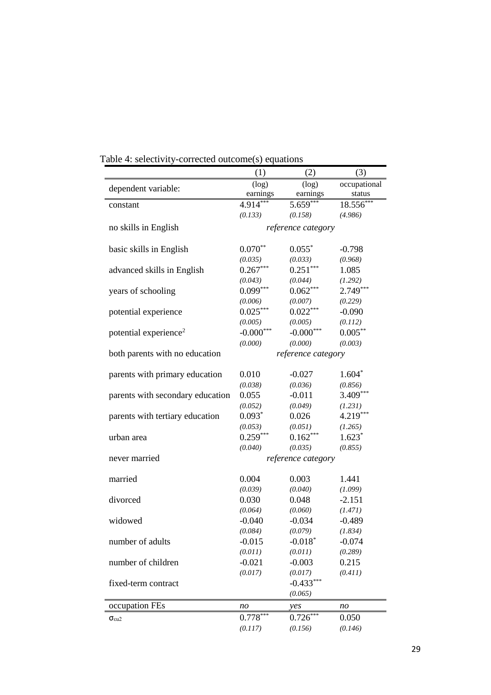|                                   | (1)                | (2)                | (3)          |  |
|-----------------------------------|--------------------|--------------------|--------------|--|
| dependent variable:               | (log)              | (log)              | occupational |  |
|                                   | earnings           | earnings           | status       |  |
| constant                          | $4.914***$         | $5.659***$         | $18.556***$  |  |
|                                   | (0.133)            | (0.158)            | (4.986)      |  |
| no skills in English              |                    | reference category |              |  |
| basic skills in English           | $0.070**$          | $0.055*$           | $-0.798$     |  |
|                                   | (0.035)            | (0.033)            | (0.968)      |  |
| advanced skills in English        | $0.267***$         | $0.251***$         | 1.085        |  |
|                                   | (0.043)            | (0.044)            | (1.292)      |  |
| years of schooling                | $0.099***$         | $0.062***$         | $2.749***$   |  |
|                                   | (0.006)            | (0.007)            | (0.229)      |  |
| potential experience              | $0.025***$         | $0.022***$         | $-0.090$     |  |
|                                   | (0.005)            | (0.005)            | (0.112)      |  |
| potential experience <sup>2</sup> | $-0.000***$        | $-0.000***$        | $0.005***$   |  |
|                                   | (0.000)            | (0.000)            | (0.003)      |  |
| both parents with no education    | reference category |                    |              |  |
| parents with primary education    | 0.010              | $-0.027$           | $1.604*$     |  |
|                                   | (0.038)            | (0.036)            | (0.856)      |  |
| parents with secondary education  | 0.055              | $-0.011$           | 3.409***     |  |
|                                   | (0.052)            | (0.049)            | (1.231)      |  |
| parents with tertiary education   | $0.093^*$          | 0.026              | 4.219***     |  |
|                                   | (0.053)            | (0.051)            | (1.265)      |  |
| urban area                        | $0.259***$         | $0.162***$         | $1.623*$     |  |
|                                   | (0.040)            | (0.035)            | (0.855)      |  |
| never married                     | reference category |                    |              |  |
| married                           | 0.004              | 0.003              | 1.441        |  |
|                                   | (0.039)            | (0.040)            | (1.099)      |  |
| divorced                          | 0.030              | 0.048              | $-2.151$     |  |
|                                   | (0.064)            | (0.060)            | (1.471)      |  |
| widowed                           | $-0.040$           | $-0.034$           | $-0.489$     |  |
|                                   | (0.084)            | (0.079)            | (1.834)      |  |
| number of adults                  | $-0.015$           | $-0.018*$          | $-0.074$     |  |
|                                   | (0.011)            | (0.011)            | (0.289)      |  |
| number of children                | $-0.021$           | $-0.003$           | 0.215        |  |
|                                   | (0.017)            | (0.017)            | (0.411)      |  |
| fixed-term contract               |                    | $-0.433***$        |              |  |
|                                   |                    | (0.065)            |              |  |
| occupation FEs                    | no                 | yes                | no           |  |
| $\sigma_{\text{eu2}}$             | $0.778***$         | $0.726***$         | 0.050        |  |
|                                   | (0.117)            | (0.156)            | (0.146)      |  |
|                                   |                    |                    |              |  |

Table 4: selectivity-corrected outcome(s) equations